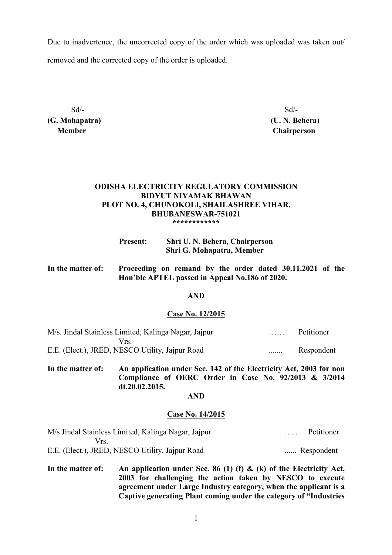Due to inadvertence, the uncorrected copy of the order which was uploaded was taken out/ removed and the corrected copy of the order is uploaded.

 $Sd$ - $Sd$ -**(G. Mohapatra) (U. N. Behera)** 

 **Member Chairperson**

## **ODISHA ELECTRICITY REGULATORY COMMISSION BIDYUT NIYAMAK BHAWAN PLOT NO. 4, CHUNOKOLI, SHAILASHREE VIHAR, BHUBANESWAR-751021 \*\*\*\*\*\*\*\*\*\*\*\***

| <b>Present:</b> | Shri U. N. Behera, Chairperson |
|-----------------|--------------------------------|
|                 | Shri G. Mohapatra, Member      |

| In the matter of: | Proceeding on remand by the order dated 30.11.2021 of the |
|-------------------|-----------------------------------------------------------|
|                   | Hon'ble APTEL passed in Appeal No.186 of 2020.            |

## **AND**

#### **Case No. 12/2015**

| M/s. Jindal Stainless Limited, Kalinga Nagar, Jajpur |   | Petitioner |
|------------------------------------------------------|---|------------|
| Vrs                                                  |   |            |
| E.E. (Elect.), JRED, NESCO Utility, Jaipur Road      | . | Respondent |

**In the matter of: An application under Sec. 142 of the Electricity Act, 2003 for non Compliance of OERC Order in Case No. 92/2013 & 3/2014 dt.20.02.2015.** 

# **AND**

### **Case No. 14/2015**

| M/s Jindal Stainless Limited, Kalinga Nagar, Jajpur | Petitioner<br>1.1.1.1.1 |
|-----------------------------------------------------|-------------------------|
| Vrs.                                                |                         |
| E.E. (Elect.), JRED, NESCO Utility, Jaipur Road     | Respondent              |

**In the matter of: An application under Sec. 86 (1) (f) & (k) of the Electricity Act, 2003 for challenging the action taken by NESCO to execute agreement under Large Industry category, when the applicant is a Captive generating Plant coming under the category of "Industries**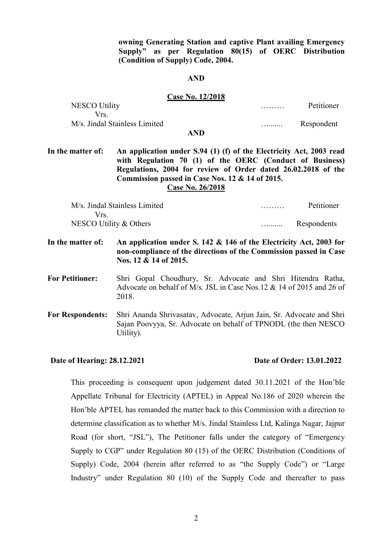**owning Generating Station and captive Plant availing Emergency Supply" as per Regulation 80(15) of OERC Distribution (Condition of Supply) Code, 2004.** 

#### **AND**

#### **Case No. 12/2018**

| <b>NESCO Utility</b>          | . | Petitioner |
|-------------------------------|---|------------|
| Vrs.                          |   |            |
| M/s. Jindal Stainless Limited | . | Respondent |
| <b>AND</b>                    |   |            |

**In the matter of: An application under S.94 (1) (f) of the Electricity Act, 2003 read with Regulation 70 (1) of the OERC (Conduct of Business) Regulations, 2004 for review of Order dated 26.02.2018 of the Commission passed in Case Nos. 12 & 14 of 2015.** 

**Case No. 26/2018**

| M/s. Jindal Stainless Limited | . | Petitioner  |
|-------------------------------|---|-------------|
| Vrs.                          |   |             |
| NESCO Utility $&$ Others      | . | Respondents |

**In the matter of: An application under S. 142 & 146 of the Electricity Act, 2003 for non-compliance of the directions of the Commission passed in Case Nos. 12 & 14 of 2015.** 

**For Petitioner:** Shri Gopal Choudhury, Sr. Advocate and Shri Hitendra Ratha, Advocate on behalf of M/s. JSL in Case Nos.12 & 14 of 2015 and 26 of 2018.

**For Respondents:** Shri Ananda Shrivasatav, Advocate, Arjun Jain, Sr. Advocate and Shri Sajan Poovyya, Sr. Advocate on behalf of TPNODL (the then NESCO Utility).

## **Date of Hearing: 28.12.2021 Date of Order: 13.01.2022**

This proceeding is consequent upon judgement dated 30.11.2021 of the Hon'ble Appellate Tribunal for Electricity (APTEL) in Appeal No.186 of 2020 wherein the Hon'ble APTEL has remanded the matter back to this Commission with a direction to determine classification as to whether M/s. Jindal Stainless Ltd, Kalinga Nagar, Jajpur Road (for short, "JSL"), The Petitioner falls under the category of "Emergency Supply to CGP" under Regulation 80 (15) of the OERC Distribution (Conditions of Supply) Code, 2004 (herein after referred to as "the Supply Code") or "Large Industry" under Regulation 80 (10) of the Supply Code and thereafter to pass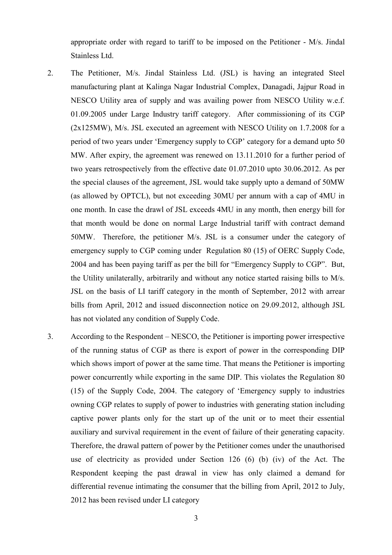appropriate order with regard to tariff to be imposed on the Petitioner - M/s. Jindal Stainless Ltd.

- 2. The Petitioner, M/s. Jindal Stainless Ltd. (JSL) is having an integrated Steel manufacturing plant at Kalinga Nagar Industrial Complex, Danagadi, Jajpur Road in NESCO Utility area of supply and was availing power from NESCO Utility w.e.f. 01.09.2005 under Large Industry tariff category. After commissioning of its CGP (2x125MW), M/s. JSL executed an agreement with NESCO Utility on 1.7.2008 for a period of two years under 'Emergency supply to CGP' category for a demand upto 50 MW. After expiry, the agreement was renewed on 13.11.2010 for a further period of two years retrospectively from the effective date 01.07.2010 upto 30.06.2012. As per the special clauses of the agreement, JSL would take supply upto a demand of 50MW (as allowed by OPTCL), but not exceeding 30MU per annum with a cap of 4MU in one month. In case the drawl of JSL exceeds 4MU in any month, then energy bill for that month would be done on normal Large Industrial tariff with contract demand 50MW. Therefore, the petitioner M/s. JSL is a consumer under the category of emergency supply to CGP coming under Regulation 80 (15) of OERC Supply Code, 2004 and has been paying tariff as per the bill for "Emergency Supply to CGP". But, the Utility unilaterally, arbitrarily and without any notice started raising bills to M/s. JSL on the basis of LI tariff category in the month of September, 2012 with arrear bills from April, 2012 and issued disconnection notice on 29.09.2012, although JSL has not violated any condition of Supply Code.
- 3. According to the Respondent NESCO, the Petitioner is importing power irrespective of the running status of CGP as there is export of power in the corresponding DIP which shows import of power at the same time. That means the Petitioner is importing power concurrently while exporting in the same DIP. This violates the Regulation 80 (15) of the Supply Code, 2004. The category of 'Emergency supply to industries owning CGP relates to supply of power to industries with generating station including captive power plants only for the start up of the unit or to meet their essential auxiliary and survival requirement in the event of failure of their generating capacity. Therefore, the drawal pattern of power by the Petitioner comes under the unauthorised use of electricity as provided under Section 126 (6) (b) (iv) of the Act. The Respondent keeping the past drawal in view has only claimed a demand for differential revenue intimating the consumer that the billing from April, 2012 to July, 2012 has been revised under LI category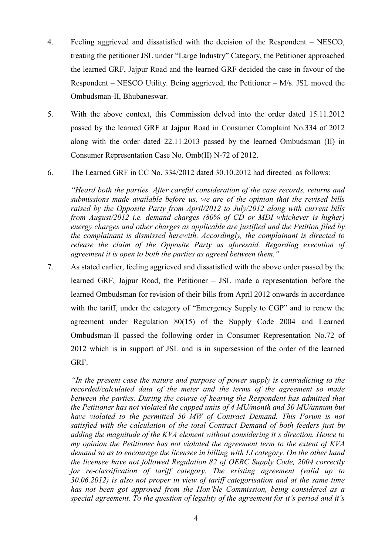- 4. Feeling aggrieved and dissatisfied with the decision of the Respondent NESCO, treating the petitioner JSL under "Large Industry" Category, the Petitioner approached the learned GRF, Jajpur Road and the learned GRF decided the case in favour of the Respondent – NESCO Utility. Being aggrieved, the Petitioner – M/s. JSL moved the Ombudsman-II, Bhubaneswar.
- 5. With the above context, this Commission delved into the order dated 15.11.2012 passed by the learned GRF at Jajpur Road in Consumer Complaint No.334 of 2012 along with the order dated 22.11.2013 passed by the learned Ombudsman (II) in Consumer Representation Case No. Omb(II) N-72 of 2012.
- 6. The Learned GRF in CC No. 334/2012 dated 30.10.2012 had directed as follows:

*"Heard both the parties. After careful consideration of the case records, returns and submissions made available before us, we are of the opinion that the revised bills raised by the Opposite Party from April/2012 to July/2012 along with current bills from August/2012 i.e. demand charges (80% of CD or MDI whichever is higher) energy charges and other charges as applicable are justified and the Petition filed by the complainant is dismissed herewith. Accordingly, the complainant is directed to release the claim of the Opposite Party as aforesaid. Regarding execution of agreement it is open to both the parties as agreed between them."*

7. As stated earlier, feeling aggrieved and dissatisfied with the above order passed by the learned GRF, Jajpur Road, the Petitioner – JSL made a representation before the learned Ombudsman for revision of their bills from April 2012 onwards in accordance with the tariff, under the category of "Emergency Supply to CGP" and to renew the agreement under Regulation 80(15) of the Supply Code 2004 and Learned Ombudsman-II passed the following order in Consumer Representation No.72 of 2012 which is in support of JSL and is in supersession of the order of the learned GRF.

*"In the present case the nature and purpose of power supply is contradicting to the recorded/calculated data of the meter and the terms of the agreement so made*  between the parties. During the course of hearing the Respondent has admitted that *the Petitioner has not violated the capped units of 4 MU/month and 30 MU/annum but have violated to the permitted 50 MW of Contract Demand. This Forum is not satisfied with the calculation of the total Contract Demand of both feeders just by adding the magnitude of the KVA element without considering it's direction. Hence to my opinion the Petitioner has not violated the agreement term to the extent of KVA demand so as to encourage the licensee in billing with LI category. On the other hand the licensee have not followed Regulation 82 of OERC Supply Code, 2004 correctly for re-classification of tariff category. The existing agreement (valid up to 30.06.2012) is also not proper in view of tariff categorisation and at the same time has not been got approved from the Hon'ble Commission, being considered as a special agreement. To the question of legality of the agreement for it's period and it's*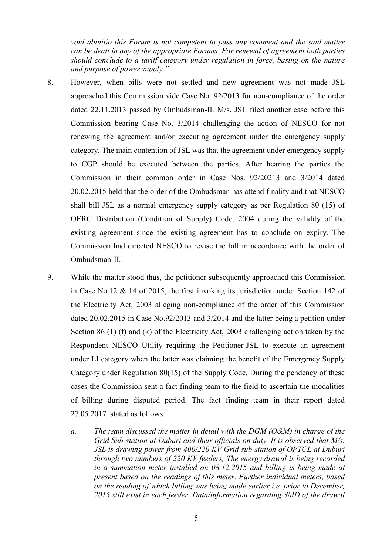*void abinitio this Forum is not competent to pass any comment and the said matter can be dealt in any of the appropriate Forums. For renewal of agreement both parties should conclude to a tariff category under regulation in force, basing on the nature and purpose of power supply."* 

- 8. However, when bills were not settled and new agreement was not made JSL approached this Commission vide Case No. 92/2013 for non-compliance of the order dated 22.11.2013 passed by Ombudsman-II. M/s. JSL filed another case before this Commission bearing Case No. 3/2014 challenging the action of NESCO for not renewing the agreement and/or executing agreement under the emergency supply category. The main contention of JSL was that the agreement under emergency supply to CGP should be executed between the parties. After hearing the parties the Commission in their common order in Case Nos. 92/20213 and 3/2014 dated 20.02.2015 held that the order of the Ombudsman has attend finality and that NESCO shall bill JSL as a normal emergency supply category as per Regulation 80 (15) of OERC Distribution (Condition of Supply) Code, 2004 during the validity of the existing agreement since the existing agreement has to conclude on expiry. The Commission had directed NESCO to revise the bill in accordance with the order of Ombudsman-II.
- 9. While the matter stood thus, the petitioner subsequently approached this Commission in Case No.12 & 14 of 2015, the first invoking its jurisdiction under Section 142 of the Electricity Act, 2003 alleging non-compliance of the order of this Commission dated 20.02.2015 in Case No.92/2013 and 3/2014 and the latter being a petition under Section 86 (1) (f) and (k) of the Electricity Act, 2003 challenging action taken by the Respondent NESCO Utility requiring the Petitioner-JSL to execute an agreement under LI category when the latter was claiming the benefit of the Emergency Supply Category under Regulation 80(15) of the Supply Code. During the pendency of these cases the Commission sent a fact finding team to the field to ascertain the modalities of billing during disputed period. The fact finding team in their report dated 27.05.2017 stated as follows:
	- *a. The team discussed the matter in detail with the DGM (O&M) in charge of the Grid Sub-station at Duburi and their officials on duty, It is observed that M/s. JSL is drawing power from 400/220 KV Grid sub-station of OPTCL at Duburi through two numbers of 220 KV feeders, The energy drawal is being recorded in a summation meter installed on 08.12.2015 and billing is being made at present based on the readings of this meter. Further individual meters, based on the reading of which billing was being made earlier i.e. prior to December, 2015 still exist in each feeder. Data/information regarding SMD of the drawal*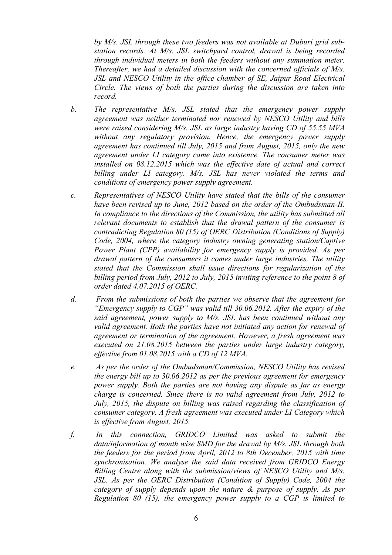*by M/s. JSL through these two feeders was not available at Duburi grid substation records. At M/s. JSL switchyard control, drawal is being recorded through individual meters in both the feeders without any summation meter. Thereafter, we had a detailed discussion with the concerned officials of M/s. JSL and NESCO Utility in the office chamber of SE, Jajpur Road Electrical Circle. The views of both the parties during the discussion are taken into record.* 

- *b. The representative M/s. JSL stated that the emergency power supply agreement was neither terminated nor renewed by NESCO Utility and bills were raised considering M/s. JSL as large industry having CD of 55.55 MVA without any regulatory provision. Hence, the emergency power supply agreement has continued till July, 2015 and from August, 2015, only the new agreement under LI category came into existence. The consumer meter was installed on 08.12.2015 which was the effective date of actual and correct billing under LI category. M/s. JSL has never violated the terms and conditions of emergency power supply agreement.*
- *c. Representatives of NESCO Utility have stated that the bills of the consumer have been revised up to June, 2012 based on the order of the Ombudsman-II. In compliance to the directions of the Commission, the utility has submitted all relevant documents to establish that the drawal pattern of the consumer is contradicting Regulation 80 (15) of OERC Distribution (Conditions of Supply) Code, 2004, where the category industry owning generating station/Captive Power Plant (CPP) availability for emergency supply is provided. As per drawal pattern of the consumers it comes under large industries. The utility stated that the Commission shall issue directions for regularization of the billing period from July, 2012 to July, 2015 inviting reference to the point 8 of order dated 4.07.2015 of OERC.*
- *d. From the submissions of both the parties we observe that the agreement for "Emergency supply to CGP" was valid till 30.06.2012. After the expiry of the said agreement, power supply to M/s. JSL has been continued without any valid agreement. Both the parties have not initiated any action for renewal of agreement or termination of the agreement. However, a fresh agreement was executed on 21.08.2015 between the parties under large industry category, effective from 01.08.2015 with a CD of 12 MVA.*
- *e. As per the order of the Ombudsman/Commission, NESCO Utility has revised the energy bill up to 30.06.2012 as per the previous agreement for emergency power supply. Both the parties are not having any dispute as far as energy charge is concerned. Since there is no valid agreement from July, 2012 to July, 2015, the dispute on billing was raised regarding the classification of consumer category. A fresh agreement was executed under LI Category which is effective from August, 2015.*
- *f. In this connection, GRIDCO Limited was asked to submit the data/information of month wise SMD for the drawal by M/s. JSL through both the feeders for the period from April, 2012 to 8th December, 2015 with time synchronisation. We analyse the said data received from GRIDCO Energy Billing Centre along with the submission/views of NESCO Utility and M/s. JSL. As per the OERC Distribution (Condition of Supply) Code, 2004 the category of supply depends upon the nature & purpose of supply. As per Regulation 80 (15), the emergency power supply to a CGP is limited to*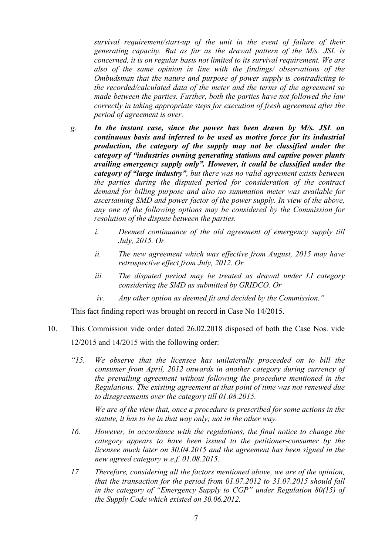*survival requirement/start-up of the unit in the event of failure of their generating capacity. But as far as the drawal pattern of the M/s. JSL is concerned, it is on regular basis not limited to its survival requirement. We are also of the same opinion in line with the findings/ observations of the Ombudsman that the nature and purpose of power supply is contradicting to the recorded/calculated data of the meter and the terms of the agreement so made between the parties. Further, both the parties have not followed the law correctly in taking appropriate steps for execution of fresh agreement after the period of agreement is over.* 

- *g. In the instant case, since the power has been drawn by M/s. JSL on continuous basis and inferred to be used as motive force for its industrial production, the category of the supply may not be classified under the category of "industries owning generating stations and captive power plants availing emergency supply only". However, it could be classified under the category of "large industry", but there was no valid agreement exists between the parties during the disputed period for consideration of the contract demand for billing purpose and also no summation meter was available for ascertaining SMD and power factor of the power supply. In view of the above, any one of the following options may be considered by the Commission for resolution of the dispute between the parties.* 
	- *i. Deemed continuance of the old agreement of emergency supply till July, 2015. Or*
	- *ii. The new agreement which was effective from August, 2015 may have retrospective effect from July, 2012. Or*
	- *iii. The disputed period may be treated as drawal under LI category considering the SMD as submitted by GRIDCO. Or*
	- *iv. Any other option as deemed fit and decided by the Commission."*

This fact finding report was brought on record in Case No 14/2015.

- 10. This Commission vide order dated 26.02.2018 disposed of both the Case Nos. vide 12/2015 and 14/2015 with the following order:
	- *"15. We observe that the licensee has unilaterally proceeded on to bill the consumer from April, 2012 onwards in another category during currency of the prevailing agreement without following the procedure mentioned in the Regulations. The existing agreement at that point of time was not renewed due to disagreements over the category till 01.08.2015.*

*We are of the view that, once a procedure is prescribed for some actions in the statute, it has to be in that way only; not in the other way.* 

- *16. However, in accordance with the regulations, the final notice to change the category appears to have been issued to the petitioner-consumer by the licensee much later on 30.04.2015 and the agreement has been signed in the new agreed category w.e.f. 01.08.2015.*
- *17 Therefore, considering all the factors mentioned above, we are of the opinion, that the transaction for the period from 01.07.2012 to 31.07.2015 should fall in the category of "Emergency Supply to CGP" under Regulation 80(15) of the Supply Code which existed on 30.06.2012.*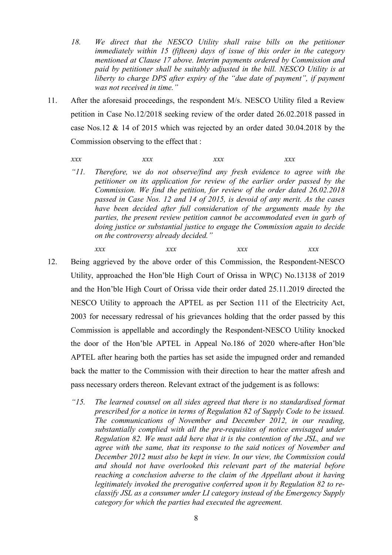- 18. We direct that the NESCO Utility shall raise bills on the petitioner *immediately within 15 (fifteen) days of issue of this order in the category mentioned at Clause 17 above. Interim payments ordered by Commission and paid by petitioner shall be suitably adjusted in the bill. NESCO Utility is at liberty to charge DPS after expiry of the "due date of payment", if payment was not received in time."*
- 11. After the aforesaid proceedings, the respondent M/s. NESCO Utility filed a Review petition in Case No.12/2018 seeking review of the order dated 26.02.2018 passed in case Nos.12 & 14 of 2015 which was rejected by an order dated 30.04.2018 by the Commission observing to the effect that :

## *xxx xxx xxx xxx*

- *"11. Therefore, we do not observe/find any fresh evidence to agree with the petitioner on its application for review of the earlier order passed by the Commission. We find the petition, for review of the order dated 26.02.2018 passed in Case Nos. 12 and 14 of 2015, is devoid of any merit. As the cases have been decided after full consideration of the arguments made by the parties, the present review petition cannot be accommodated even in garb of doing justice or substantial justice to engage the Commission again to decide on the controversy already decided."* 
	- *xxx xxx xxx xxx*
- 12. Being aggrieved by the above order of this Commission, the Respondent-NESCO Utility, approached the Hon'ble High Court of Orissa in WP(C) No.13138 of 2019 and the Hon'ble High Court of Orissa vide their order dated 25.11.2019 directed the NESCO Utility to approach the APTEL as per Section 111 of the Electricity Act, 2003 for necessary redressal of his grievances holding that the order passed by this Commission is appellable and accordingly the Respondent-NESCO Utility knocked the door of the Hon'ble APTEL in Appeal No.186 of 2020 where-after Hon'ble APTEL after hearing both the parties has set aside the impugned order and remanded back the matter to the Commission with their direction to hear the matter afresh and pass necessary orders thereon. Relevant extract of the judgement is as follows:
	- *"15. The learned counsel on all sides agreed that there is no standardised format prescribed for a notice in terms of Regulation 82 of Supply Code to be issued. The communications of November and December 2012, in our reading, substantially complied with all the pre-requisites of notice envisaged under Regulation 82. We must add here that it is the contention of the JSL, and we agree with the same, that its response to the said notices of November and December 2012 must also be kept in view. In our view, the Commission could and should not have overlooked this relevant part of the material before reaching a conclusion adverse to the claim of the Appellant about it having legitimately invoked the prerogative conferred upon it by Regulation 82 to reclassify JSL as a consumer under LI category instead of the Emergency Supply category for which the parties had executed the agreement.*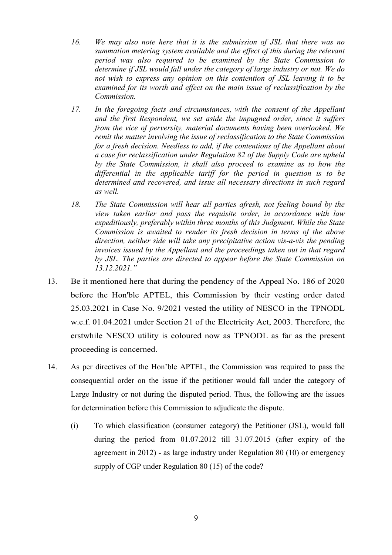- *16. We may also note here that it is the submission of JSL that there was no summation metering system available and the effect of this during the relevant period was also required to be examined by the State Commission to determine if JSL would fall under the category of large industry or not. We do not wish to express any opinion on this contention of JSL leaving it to be examined for its worth and effect on the main issue of reclassification by the Commission.*
- *17. In the foregoing facts and circumstances, with the consent of the Appellant and the first Respondent, we set aside the impugned order, since it suffers from the vice of perversity, material documents having been overlooked. We remit the matter involving the issue of reclassification to the State Commission for a fresh decision. Needless to add, if the contentions of the Appellant about a case for reclassification under Regulation 82 of the Supply Code are upheld by the State Commission, it shall also proceed to examine as to how the differential in the applicable tariff for the period in question is to be determined and recovered, and issue all necessary directions in such regard as well.*
- *18. The State Commission will hear all parties afresh, not feeling bound by the view taken earlier and pass the requisite order, in accordance with law expeditiously, preferably within three months of this Judgment. While the State Commission is awaited to render its fresh decision in terms of the above direction, neither side will take any precipitative action vis-a-vis the pending invoices issued by the Appellant and the proceedings taken out in that regard by JSL. The parties are directed to appear before the State Commission on 13.12.2021."*
- 13. Be it mentioned here that during the pendency of the Appeal No. 186 of 2020 before the Hon'ble APTEL, this Commission by their vesting order dated 25.03.2021 in Case No. 9/2021 vested the utility of NESCO in the TPNODL w.e.f. 01.04.2021 under Section 21 of the Electricity Act, 2003. Therefore, the erstwhile NESCO utility is coloured now as TPNODL as far as the present proceeding is concerned.
- 14. As per directives of the Hon'ble APTEL, the Commission was required to pass the consequential order on the issue if the petitioner would fall under the category of Large Industry or not during the disputed period. Thus, the following are the issues for determination before this Commission to adjudicate the dispute.
	- (i) To which classification (consumer category) the Petitioner (JSL), would fall during the period from 01.07.2012 till 31.07.2015 (after expiry of the agreement in 2012) - as large industry under Regulation 80 (10) or emergency supply of CGP under Regulation 80 (15) of the code?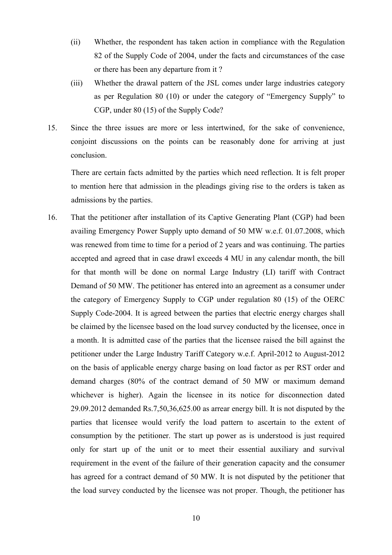- (ii) Whether, the respondent has taken action in compliance with the Regulation 82 of the Supply Code of 2004, under the facts and circumstances of the case or there has been any departure from it ?
- (iii) Whether the drawal pattern of the JSL comes under large industries category as per Regulation 80 (10) or under the category of "Emergency Supply" to CGP, under 80 (15) of the Supply Code?
- 15. Since the three issues are more or less intertwined, for the sake of convenience, conjoint discussions on the points can be reasonably done for arriving at just conclusion.

There are certain facts admitted by the parties which need reflection. It is felt proper to mention here that admission in the pleadings giving rise to the orders is taken as admissions by the parties.

16. That the petitioner after installation of its Captive Generating Plant (CGP) had been availing Emergency Power Supply upto demand of 50 MW w.e.f. 01.07.2008, which was renewed from time to time for a period of 2 years and was continuing. The parties accepted and agreed that in case drawl exceeds 4 MU in any calendar month, the bill for that month will be done on normal Large Industry (LI) tariff with Contract Demand of 50 MW. The petitioner has entered into an agreement as a consumer under the category of Emergency Supply to CGP under regulation 80 (15) of the OERC Supply Code-2004. It is agreed between the parties that electric energy charges shall be claimed by the licensee based on the load survey conducted by the licensee, once in a month. It is admitted case of the parties that the licensee raised the bill against the petitioner under the Large Industry Tariff Category w.e.f. April-2012 to August-2012 on the basis of applicable energy charge basing on load factor as per RST order and demand charges (80% of the contract demand of 50 MW or maximum demand whichever is higher). Again the licensee in its notice for disconnection dated 29.09.2012 demanded Rs.7,50,36,625.00 as arrear energy bill. It is not disputed by the parties that licensee would verify the load pattern to ascertain to the extent of consumption by the petitioner. The start up power as is understood is just required only for start up of the unit or to meet their essential auxiliary and survival requirement in the event of the failure of their generation capacity and the consumer has agreed for a contract demand of 50 MW. It is not disputed by the petitioner that the load survey conducted by the licensee was not proper. Though, the petitioner has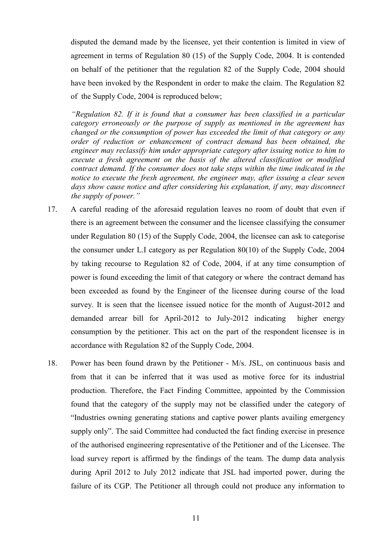disputed the demand made by the licensee, yet their contention is limited in view of agreement in terms of Regulation 80 (15) of the Supply Code, 2004. It is contended on behalf of the petitioner that the regulation 82 of the Supply Code, 2004 should have been invoked by the Respondent in order to make the claim. The Regulation 82 of the Supply Code, 2004 is reproduced below;

*"Regulation 82. If it is found that a consumer has been classified in a particular category erroneously or the purpose of supply as mentioned in the agreement has changed or the consumption of power has exceeded the limit of that category or any order of reduction or enhancement of contract demand has been obtained, the engineer may reclassify him under appropriate category after issuing notice to him to execute a fresh agreement on the basis of the altered classification or modified contract demand. If the consumer does not take steps within the time indicated in the notice to execute the fresh agreement, the engineer may, after issuing a clear seven days show cause notice and after considering his explanation, if any, may disconnect the supply of power."* 

- 17. A careful reading of the aforesaid regulation leaves no room of doubt that even if there is an agreement between the consumer and the licensee classifying the consumer under Regulation 80 (15) of the Supply Code, 2004, the licensee can ask to categorise the consumer under L.I category as per Regulation 80(10) of the Supply Code, 2004 by taking recourse to Regulation 82 of Code, 2004, if at any time consumption of power is found exceeding the limit of that category or where the contract demand has been exceeded as found by the Engineer of the licensee during course of the load survey. It is seen that the licensee issued notice for the month of August-2012 and demanded arrear bill for April-2012 to July-2012 indicating higher energy consumption by the petitioner. This act on the part of the respondent licensee is in accordance with Regulation 82 of the Supply Code, 2004.
- 18. Power has been found drawn by the Petitioner M/s. JSL, on continuous basis and from that it can be inferred that it was used as motive force for its industrial production. Therefore, the Fact Finding Committee, appointed by the Commission found that the category of the supply may not be classified under the category of "Industries owning generating stations and captive power plants availing emergency supply only". The said Committee had conducted the fact finding exercise in presence of the authorised engineering representative of the Petitioner and of the Licensee. The load survey report is affirmed by the findings of the team. The dump data analysis during April 2012 to July 2012 indicate that JSL had imported power, during the failure of its CGP. The Petitioner all through could not produce any information to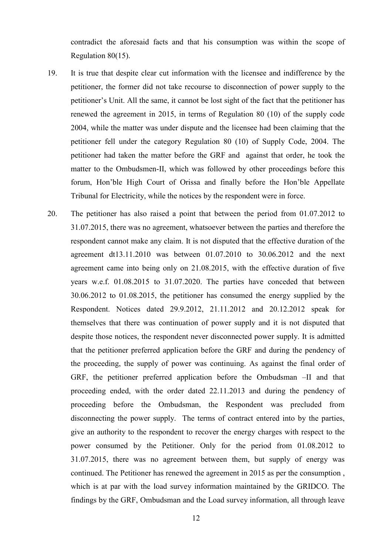contradict the aforesaid facts and that his consumption was within the scope of Regulation 80(15).

- 19. It is true that despite clear cut information with the licensee and indifference by the petitioner, the former did not take recourse to disconnection of power supply to the petitioner's Unit. All the same, it cannot be lost sight of the fact that the petitioner has renewed the agreement in 2015, in terms of Regulation 80 (10) of the supply code 2004, while the matter was under dispute and the licensee had been claiming that the petitioner fell under the category Regulation 80 (10) of Supply Code, 2004. The petitioner had taken the matter before the GRF and against that order, he took the matter to the Ombudsmen-II, which was followed by other proceedings before this forum, Hon'ble High Court of Orissa and finally before the Hon'ble Appellate Tribunal for Electricity, while the notices by the respondent were in force.
- 20. The petitioner has also raised a point that between the period from 01.07.2012 to 31.07.2015, there was no agreement, whatsoever between the parties and therefore the respondent cannot make any claim. It is not disputed that the effective duration of the agreement dt13.11.2010 was between 01.07.2010 to 30.06.2012 and the next agreement came into being only on 21.08.2015, with the effective duration of five years w.e.f. 01.08.2015 to 31.07.2020. The parties have conceded that between 30.06.2012 to 01.08.2015, the petitioner has consumed the energy supplied by the Respondent. Notices dated 29.9.2012, 21.11.2012 and 20.12.2012 speak for themselves that there was continuation of power supply and it is not disputed that despite those notices, the respondent never disconnected power supply. It is admitted that the petitioner preferred application before the GRF and during the pendency of the proceeding, the supply of power was continuing. As against the final order of GRF, the petitioner preferred application before the Ombudsman –II and that proceeding ended, with the order dated 22.11.2013 and during the pendency of proceeding before the Ombudsman, the Respondent was precluded from disconnecting the power supply. The terms of contract entered into by the parties, give an authority to the respondent to recover the energy charges with respect to the power consumed by the Petitioner. Only for the period from 01.08.2012 to 31.07.2015, there was no agreement between them, but supply of energy was continued. The Petitioner has renewed the agreement in 2015 as per the consumption , which is at par with the load survey information maintained by the GRIDCO. The findings by the GRF, Ombudsman and the Load survey information, all through leave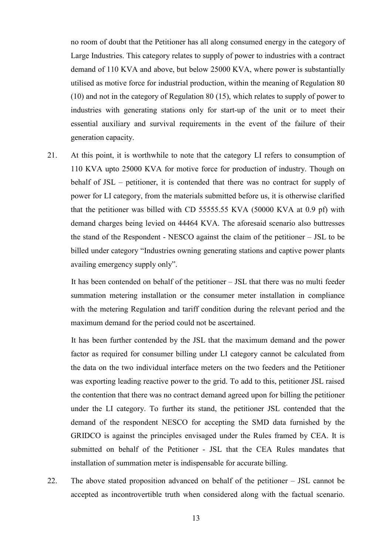no room of doubt that the Petitioner has all along consumed energy in the category of Large Industries. This category relates to supply of power to industries with a contract demand of 110 KVA and above, but below 25000 KVA, where power is substantially utilised as motive force for industrial production, within the meaning of Regulation 80 (10) and not in the category of Regulation 80 (15), which relates to supply of power to industries with generating stations only for start-up of the unit or to meet their essential auxiliary and survival requirements in the event of the failure of their generation capacity.

21. At this point, it is worthwhile to note that the category LI refers to consumption of 110 KVA upto 25000 KVA for motive force for production of industry. Though on behalf of JSL – petitioner, it is contended that there was no contract for supply of power for LI category, from the materials submitted before us, it is otherwise clarified that the petitioner was billed with CD 55555.55 KVA (50000 KVA at 0.9 pf) with demand charges being levied on 44464 KVA. The aforesaid scenario also buttresses the stand of the Respondent - NESCO against the claim of the petitioner – JSL to be billed under category "Industries owning generating stations and captive power plants availing emergency supply only".

It has been contended on behalf of the petitioner – JSL that there was no multi feeder summation metering installation or the consumer meter installation in compliance with the metering Regulation and tariff condition during the relevant period and the maximum demand for the period could not be ascertained.

It has been further contended by the JSL that the maximum demand and the power factor as required for consumer billing under LI category cannot be calculated from the data on the two individual interface meters on the two feeders and the Petitioner was exporting leading reactive power to the grid. To add to this, petitioner JSL raised the contention that there was no contract demand agreed upon for billing the petitioner under the LI category. To further its stand, the petitioner JSL contended that the demand of the respondent NESCO for accepting the SMD data furnished by the GRIDCO is against the principles envisaged under the Rules framed by CEA. It is submitted on behalf of the Petitioner - JSL that the CEA Rules mandates that installation of summation meter is indispensable for accurate billing.

22. The above stated proposition advanced on behalf of the petitioner – JSL cannot be accepted as incontrovertible truth when considered along with the factual scenario.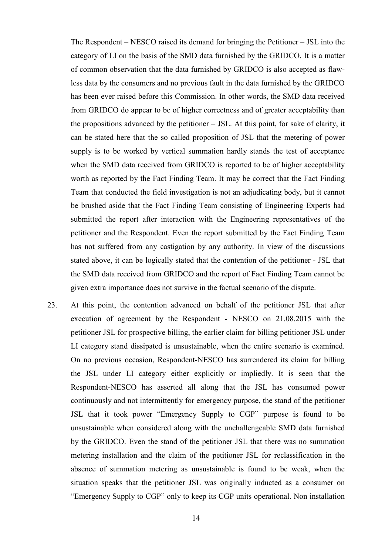The Respondent – NESCO raised its demand for bringing the Petitioner – JSL into the category of LI on the basis of the SMD data furnished by the GRIDCO. It is a matter of common observation that the data furnished by GRIDCO is also accepted as flawless data by the consumers and no previous fault in the data furnished by the GRIDCO has been ever raised before this Commission. In other words, the SMD data received from GRIDCO do appear to be of higher correctness and of greater acceptability than the propositions advanced by the petitioner – JSL. At this point, for sake of clarity, it can be stated here that the so called proposition of JSL that the metering of power supply is to be worked by vertical summation hardly stands the test of acceptance when the SMD data received from GRIDCO is reported to be of higher acceptability worth as reported by the Fact Finding Team. It may be correct that the Fact Finding Team that conducted the field investigation is not an adjudicating body, but it cannot be brushed aside that the Fact Finding Team consisting of Engineering Experts had submitted the report after interaction with the Engineering representatives of the petitioner and the Respondent. Even the report submitted by the Fact Finding Team has not suffered from any castigation by any authority. In view of the discussions stated above, it can be logically stated that the contention of the petitioner - JSL that the SMD data received from GRIDCO and the report of Fact Finding Team cannot be given extra importance does not survive in the factual scenario of the dispute.

23. At this point, the contention advanced on behalf of the petitioner JSL that after execution of agreement by the Respondent - NESCO on 21.08.2015 with the petitioner JSL for prospective billing, the earlier claim for billing petitioner JSL under LI category stand dissipated is unsustainable, when the entire scenario is examined. On no previous occasion, Respondent-NESCO has surrendered its claim for billing the JSL under LI category either explicitly or impliedly. It is seen that the Respondent-NESCO has asserted all along that the JSL has consumed power continuously and not intermittently for emergency purpose, the stand of the petitioner JSL that it took power "Emergency Supply to CGP" purpose is found to be unsustainable when considered along with the unchallengeable SMD data furnished by the GRIDCO. Even the stand of the petitioner JSL that there was no summation metering installation and the claim of the petitioner JSL for reclassification in the absence of summation metering as unsustainable is found to be weak, when the situation speaks that the petitioner JSL was originally inducted as a consumer on "Emergency Supply to CGP" only to keep its CGP units operational. Non installation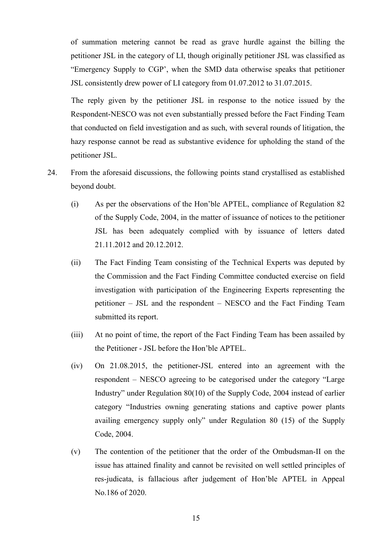of summation metering cannot be read as grave hurdle against the billing the petitioner JSL in the category of LI, though originally petitioner JSL was classified as "Emergency Supply to CGP', when the SMD data otherwise speaks that petitioner JSL consistently drew power of LI category from 01.07.2012 to 31.07.2015.

The reply given by the petitioner JSL in response to the notice issued by the Respondent-NESCO was not even substantially pressed before the Fact Finding Team that conducted on field investigation and as such, with several rounds of litigation, the hazy response cannot be read as substantive evidence for upholding the stand of the petitioner JSL.

- 24. From the aforesaid discussions, the following points stand crystallised as established beyond doubt.
	- (i) As per the observations of the Hon'ble APTEL, compliance of Regulation 82 of the Supply Code, 2004, in the matter of issuance of notices to the petitioner JSL has been adequately complied with by issuance of letters dated 21.11.2012 and 20.12.2012.
	- (ii) The Fact Finding Team consisting of the Technical Experts was deputed by the Commission and the Fact Finding Committee conducted exercise on field investigation with participation of the Engineering Experts representing the petitioner – JSL and the respondent – NESCO and the Fact Finding Team submitted its report.
	- (iii) At no point of time, the report of the Fact Finding Team has been assailed by the Petitioner - JSL before the Hon'ble APTEL.
	- (iv) On 21.08.2015, the petitioner-JSL entered into an agreement with the respondent – NESCO agreeing to be categorised under the category "Large Industry" under Regulation 80(10) of the Supply Code, 2004 instead of earlier category "Industries owning generating stations and captive power plants availing emergency supply only" under Regulation 80 (15) of the Supply Code, 2004.
	- (v) The contention of the petitioner that the order of the Ombudsman-II on the issue has attained finality and cannot be revisited on well settled principles of res-judicata, is fallacious after judgement of Hon'ble APTEL in Appeal No.186 of 2020.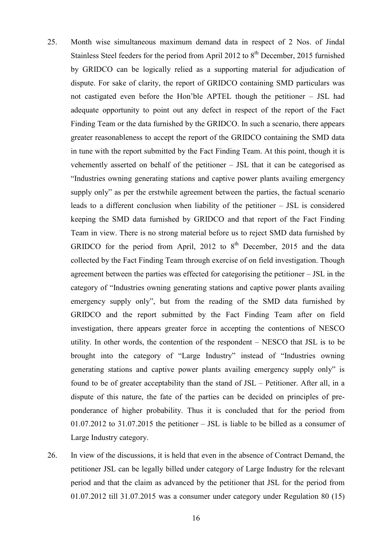- 25. Month wise simultaneous maximum demand data in respect of 2 Nos. of Jindal Stainless Steel feeders for the period from April 2012 to  $8<sup>th</sup>$  December, 2015 furnished by GRIDCO can be logically relied as a supporting material for adjudication of dispute. For sake of clarity, the report of GRIDCO containing SMD particulars was not castigated even before the Hon'ble APTEL though the petitioner – JSL had adequate opportunity to point out any defect in respect of the report of the Fact Finding Team or the data furnished by the GRIDCO. In such a scenario, there appears greater reasonableness to accept the report of the GRIDCO containing the SMD data in tune with the report submitted by the Fact Finding Team. At this point, though it is vehemently asserted on behalf of the petitioner – JSL that it can be categorised as "Industries owning generating stations and captive power plants availing emergency supply only" as per the erstwhile agreement between the parties, the factual scenario leads to a different conclusion when liability of the petitioner – JSL is considered keeping the SMD data furnished by GRIDCO and that report of the Fact Finding Team in view. There is no strong material before us to reject SMD data furnished by GRIDCO for the period from April, 2012 to  $8<sup>th</sup>$  December, 2015 and the data collected by the Fact Finding Team through exercise of on field investigation. Though agreement between the parties was effected for categorising the petitioner – JSL in the category of "Industries owning generating stations and captive power plants availing emergency supply only", but from the reading of the SMD data furnished by GRIDCO and the report submitted by the Fact Finding Team after on field investigation, there appears greater force in accepting the contentions of NESCO utility. In other words, the contention of the respondent – NESCO that JSL is to be brought into the category of "Large Industry" instead of "Industries owning generating stations and captive power plants availing emergency supply only" is found to be of greater acceptability than the stand of JSL – Petitioner. After all, in a dispute of this nature, the fate of the parties can be decided on principles of preponderance of higher probability. Thus it is concluded that for the period from 01.07.2012 to 31.07.2015 the petitioner – JSL is liable to be billed as a consumer of Large Industry category.
- 26. In view of the discussions, it is held that even in the absence of Contract Demand, the petitioner JSL can be legally billed under category of Large Industry for the relevant period and that the claim as advanced by the petitioner that JSL for the period from 01.07.2012 till 31.07.2015 was a consumer under category under Regulation 80 (15)